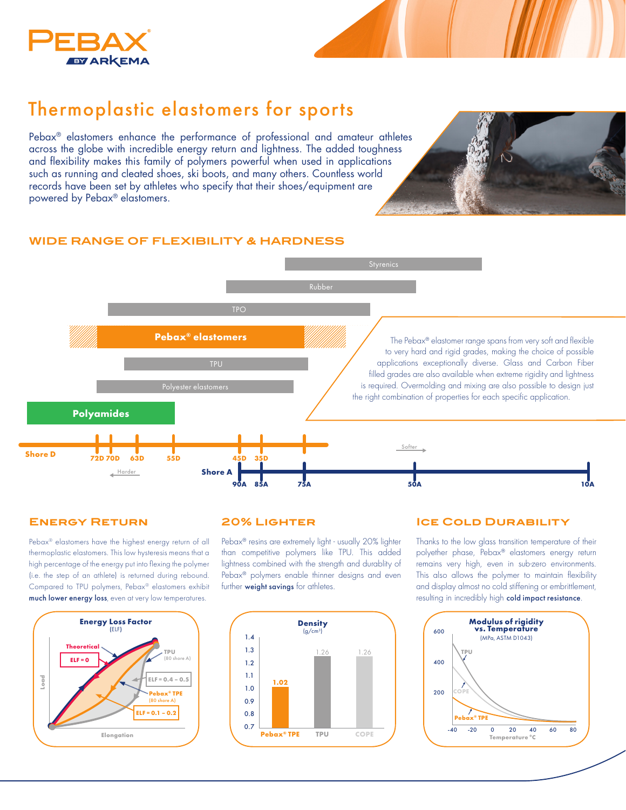

# Thermoplastic elastomers for sports

Pebax® elastomers enhance the performance of professional and amateur athletes across the globe with incredible energy return and lightness. The added toughness and flexibility makes this family of polymers powerful when used in applications such as running and cleated shoes, ski boots, and many others. Countless world records have been set by athletes who specify that their shoes/equipment are powered by Pebax® elastomers.



### **WIDE RANGE OF FLEXIBILITY & HARDNESS**



## **Energy Return**

Pebax® elastomers have the highest energy return of all thermoplastic elastomers. This low hysteresis means that a high percentage of the energy put into flexing the polymer (i.e. the step of an athlete) is returned during rebound. Compared to TPU polymers, Pebax® elastomers exhibit much lower energy loss, even at very low temperatures.



#### **20% Lighter**

Pebax® resins are extremely light - usually 20% lighter than competitive polymers like TPU. This added lightness combined with the strength and durablity of Pebax® polymers enable thinner designs and even further weight savings for athletes.



#### **ICE COLD DURABILITY**

Thanks to the low glass transition temperature of their polyether phase, Pebax® elastomers energy return remains very high, even in sub-zero environments. This also allows the polymer to maintain flexibility and display almost no cold stiffening or embrittlement, resulting in incredibly high cold impact resistance.